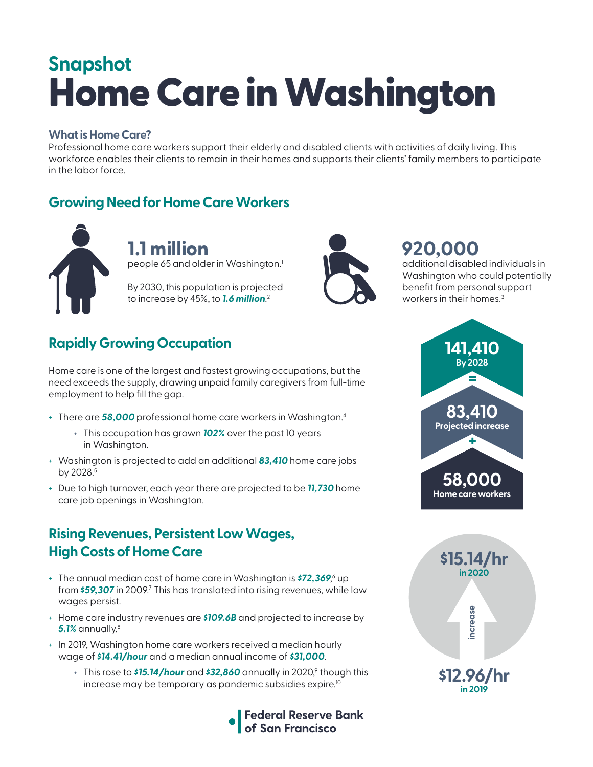# Home Care in Washington **Snapshot**

#### **What is Home Care?**

Professional home care workers support their elderly and disabled clients with activities of daily living. This workforce enables their clients to remain in their homes and supports their clients' family members to participate in the labor force.

### **Growing Need for Home Care Workers**



**1.1 million** people 65 and older in Washington.<sup>1</sup>

By 2030, this population is projected to increase by 45%, to *1.6 million*. 2



# **920,000**

additional disabled individuals in Washington who could potentially benefit from personal support workers in their homes.<sup>3</sup>

# **Rapidly Growing Occupation**

Home care is one of the largest and fastest growing occupations, but the need exceeds the supply, drawing unpaid family caregivers from full-time employment to help fill the gap.

- + There are *58,000* professional home care workers in Washington.4
	- + This occupation has grown *102%* over the past 10 years in Washington.
- + Washington is projected to add an additional *83,410* home care jobs by 2028.<sup>5</sup>
- + Due to high turnover, each year there are projected to be *11,730* home care job openings in Washington.

#### **Rising Revenues, Persistent Low Wages, High Costs of Home Care**

- + The annual median cost of home care in Washington is **\$72,369**,<sup>6</sup> up from **\$59,307** in 2009.<sup>7</sup> This has translated into rising revenues, while low wages persist.
- + Home care industry revenues are *\$109.6B* and projected to increase by *5.1%* annually.8
- + In 2019, Washington home care workers received a median hourly wage of *\$14.41/hour* and a median annual income of *\$31,000*.
	- + This rose to **\$15.14/hour** and **\$32,860** annually in 2020,<sup>9</sup> though this increase may be temporary as pandemic subsidies expire.<sup>10</sup>





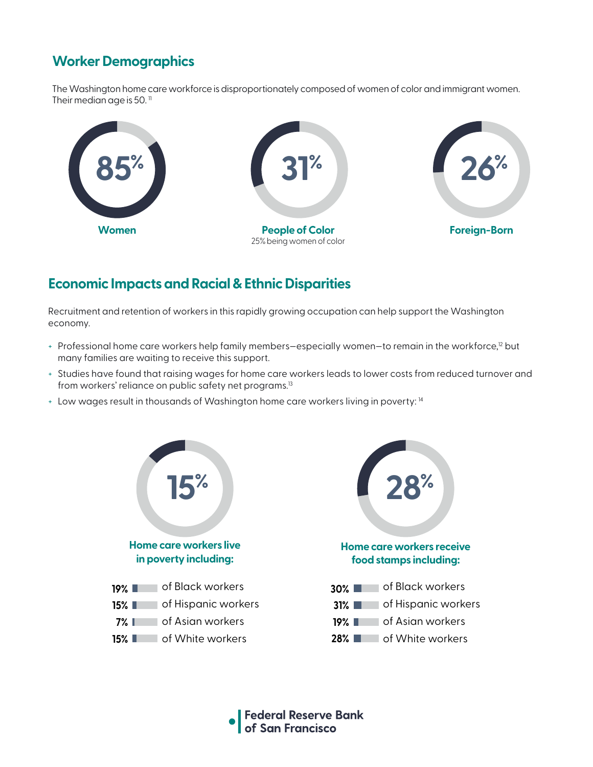# **Worker Demographics**

The Washington home care workforce is disproportionately composed of women of color and immigrant women. Their median age is 50. $<sup>11</sup>$ </sup>



#### **Economic Impacts and Racial & Ethnic Disparities**

Recruitment and retention of workers in this rapidly growing occupation can help support the Washington economy.

- + Professional home care workers help family members–especially women–to remain in the workforce,<sup>12</sup> but many families are waiting to receive this support.
- + Studies have found that raising wages for home care workers leads to lower costs from reduced turnover and from workers' reliance on public safety net programs.<sup>13</sup>
- + Low wages result in thousands of Washington home care workers living in poverty: 14